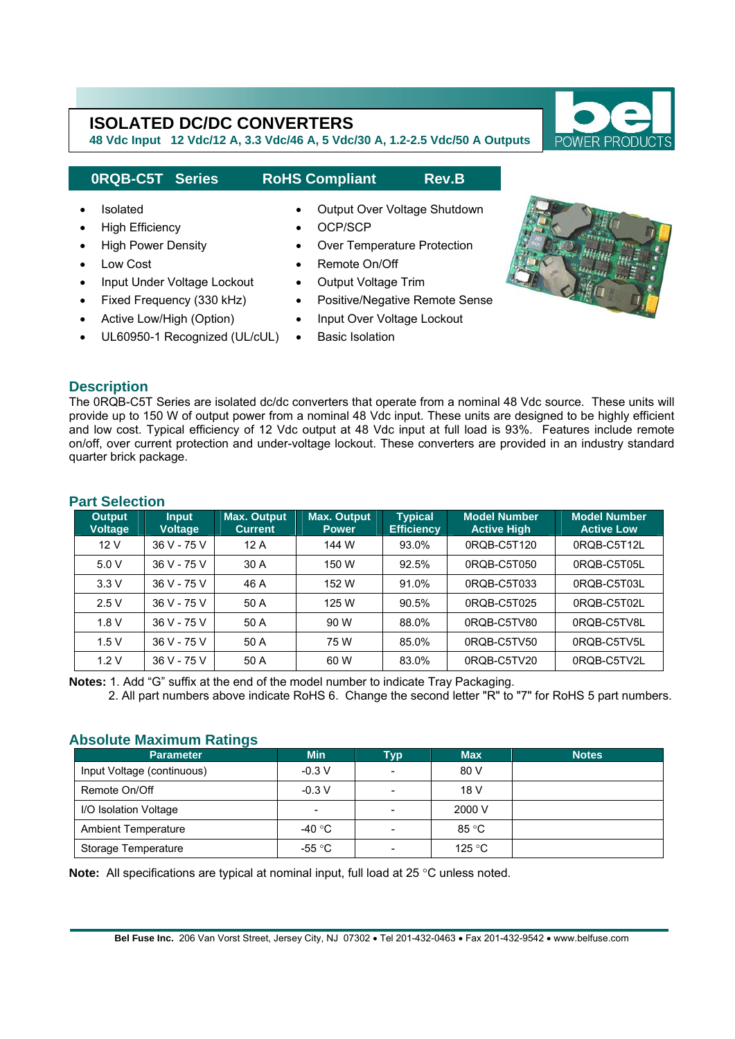**48 Vdc Input 12 Vdc/12 A, 3.3 Vdc/46 A, 5 Vdc/30 A, 1.2-2.5 Vdc/50 A Outputs** 

## **0RQB-C5T Series RoHS Compliant Rev.B**

• Fixed Frequency (330 kHz) • Active Low/High (Option)

# • Isolated • Output Over Voltage Shutdown

- High Efficiency OCP/SCP
- High Power Density Over Temperature Protection
- Low Cost  **Remote On/Off**
- Input Under Voltage Lockout Output Voltage Trim
	- Positive/Negative Remote Sense
	- Input Over Voltage Lockout
- UL60950-1 Recognized (UL/cUL) **Basic Isolation**

## **Description**

I

The 0RQB-C5T Series are isolated dc/dc converters that operate from a nominal 48 Vdc source. These units will provide up to 150 W of output power from a nominal 48 Vdc input. These units are designed to be highly efficient and low cost. Typical efficiency of 12 Vdc output at 48 Vdc input at full load is 93%. Features include remote on/off, over current protection and under-voltage lockout. These converters are provided in an industry standard quarter brick package.

## **Part Selection**

| <b>Output</b><br><b>Voltage</b> | <b>Input</b><br><b>Voltage</b> | <b>Max. Output</b><br><b>Current</b> | <b>Max. Output</b><br><b>Power</b> | <b>Typical</b><br><b>Efficiency</b> | <b>Model Number</b><br><b>Active High</b> | <b>Model Number</b><br><b>Active Low</b> |
|---------------------------------|--------------------------------|--------------------------------------|------------------------------------|-------------------------------------|-------------------------------------------|------------------------------------------|
| 12V                             | 36 V - 75 V                    | 12A                                  | 144 W                              | 93.0%                               | 0RQB-C5T120                               | 0RQB-C5T12L                              |
| 5.0V                            | 36 V - 75 V                    | 30 A                                 | 150 W                              | 92.5%                               | 0RQB-C5T050                               | 0RQB-C5T05L                              |
| 3.3V                            | 36 V - 75 V                    | 46 A                                 | 152 W                              | 91.0%                               | 0ROB-C5T033                               | 0ROB-C5T03L                              |
| 2.5V                            | 36 V - 75 V                    | 50 A                                 | 125 W                              | 90.5%                               | 0RQB-C5T025                               | 0ROB-C5T02L                              |
| 1.8V                            | 36 V - 75 V                    | 50 A                                 | 90 W                               | 88.0%                               | 0RQB-C5TV80                               | 0RQB-C5TV8L                              |
| 1.5V                            | 36 V - 75 V                    | 50 A                                 | 75 W                               | 85.0%                               | 0ROB-C5TV50                               | 0RQB-C5TV5L                              |
| 1.2V                            | 36 V - 75 V                    | 50 A                                 | 60 W                               | 83.0%                               | 0RQB-C5TV20                               | 0RQB-C5TV2L                              |

**Notes:** 1. Add "G" suffix at the end of the model number to indicate Tray Packaging.

2. All part numbers above indicate RoHS 6. Change the second letter "R" to "7" for RoHS 5 part numbers.

## **Absolute Maximum Ratings**

| <b>Parameter</b>           | <b>Min</b>               | <b>Typ</b>               | <b>Max</b> | <b>Notes</b> |
|----------------------------|--------------------------|--------------------------|------------|--------------|
| Input Voltage (continuous) | $-0.3 V$                 | ۰                        | 80 V       |              |
| Remote On/Off              | $-0.3 V$                 | $\overline{\phantom{a}}$ | 18 V       |              |
| I/O Isolation Voltage      | $\overline{\phantom{a}}$ | $\overline{\phantom{a}}$ | 2000 V     |              |
| <b>Ambient Temperature</b> | -40 °C                   | $\overline{\phantom{a}}$ | 85 °C      |              |
| Storage Temperature        | -55 °C                   | $\overline{\phantom{a}}$ | 125 °C     |              |

**Note:** All specifications are typical at nominal input, full load at 25 °C unless noted.



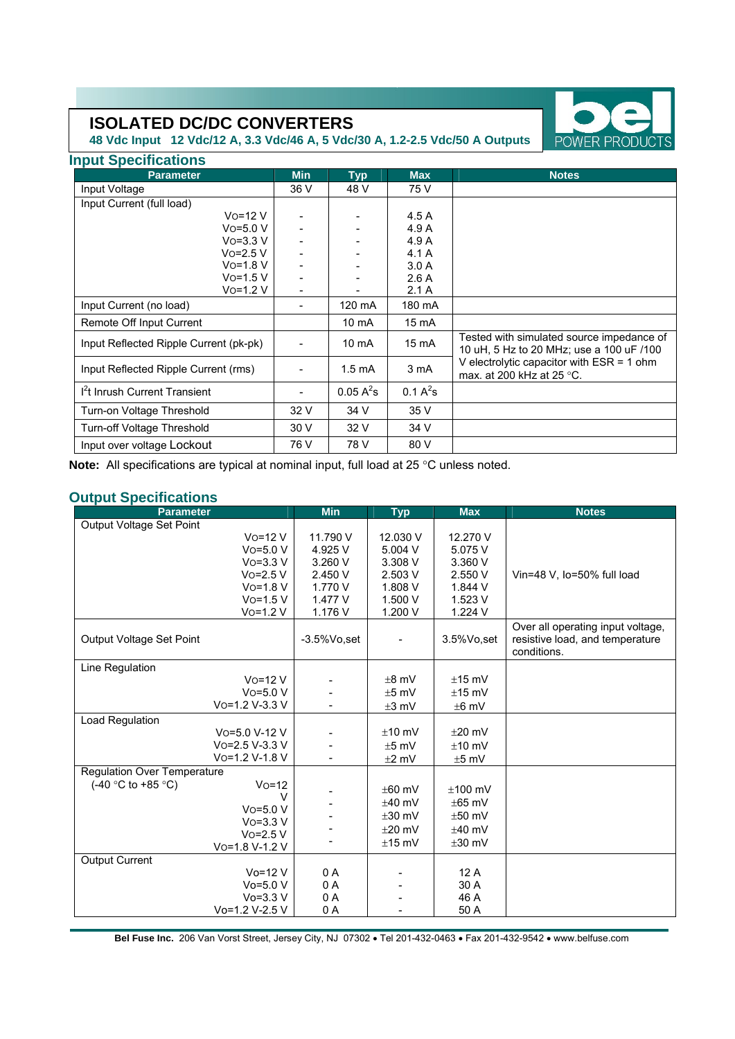**48 Vdc Input 12 Vdc/12 A, 3.3 Vdc/46 A, 5 Vdc/30 A, 1.2-2.5 Vdc/50 A Outputs** 

| <b>Input Specifications</b>               |                          |                  |             |                                                                                       |  |  |  |  |
|-------------------------------------------|--------------------------|------------------|-------------|---------------------------------------------------------------------------------------|--|--|--|--|
| <b>Parameter</b>                          | <b>Min</b><br><b>Typ</b> |                  | <b>Max</b>  | <b>Notes</b>                                                                          |  |  |  |  |
| Input Voltage                             | 36 V                     | 48 V             | 75 V        |                                                                                       |  |  |  |  |
| Input Current (full load)                 |                          |                  |             |                                                                                       |  |  |  |  |
| $V_0 = 12 V$                              |                          |                  | 4.5A        |                                                                                       |  |  |  |  |
| $V$ o=5.0 V                               |                          |                  | 4.9 A       |                                                                                       |  |  |  |  |
| $V_0 = 3.3 V$                             |                          |                  | 4.9 A       |                                                                                       |  |  |  |  |
| $V$ o=2.5 V                               |                          |                  | 4.1A        |                                                                                       |  |  |  |  |
| $Vo=1.8 V$                                |                          |                  | 3.0A        |                                                                                       |  |  |  |  |
| $V$ o=1.5 V                               |                          |                  | 2.6A        |                                                                                       |  |  |  |  |
| $V$ o=1.2 $V$                             | $\blacksquare$           |                  | 2.1A        |                                                                                       |  |  |  |  |
| Input Current (no load)                   | $\overline{a}$           | 120 mA           | 180 mA      |                                                                                       |  |  |  |  |
| Remote Off Input Current                  |                          | $10 \text{ mA}$  | 15 mA       |                                                                                       |  |  |  |  |
| Input Reflected Ripple Current (pk-pk)    |                          | $10 \text{ mA}$  | 15 mA       | Tested with simulated source impedance of<br>10 uH, 5 Hz to 20 MHz; use a 100 uF /100 |  |  |  |  |
| Input Reflected Ripple Current (rms)      |                          | $1.5 \text{ mA}$ | 3 mA        | V electrolytic capacitor with $ESR = 1$ ohm<br>max. at 200 kHz at 25 °C.              |  |  |  |  |
| I <sup>2</sup> t Inrush Current Transient |                          | $0.05 A^2$ s     | $0.1 A^2$ s |                                                                                       |  |  |  |  |
| Turn-on Voltage Threshold                 | 32 V                     | 34 V             | 35 V        |                                                                                       |  |  |  |  |
| Turn-off Voltage Threshold                | 30 V                     | 32 V             | 34 V        |                                                                                       |  |  |  |  |
| Input over voltage Lockout                | 76 V                     | 78 V             | 80 V        |                                                                                       |  |  |  |  |

**Note:** All specifications are typical at nominal input, full load at 25 °C unless noted.

## **Output Specifications**

| <b>Parameter</b>            |                       | <b>Min</b>      | <b>Typ</b>  | <b>Max</b>      | <b>Notes</b>                                                                        |
|-----------------------------|-----------------------|-----------------|-------------|-----------------|-------------------------------------------------------------------------------------|
| Output Voltage Set Point    |                       |                 |             |                 |                                                                                     |
|                             | $Vo=12 V$             | 11.790 V        | 12.030 V    | 12.270 V        |                                                                                     |
|                             | $V$ o=5.0 $V$         | 4.925 V         | 5.004 V     | 5.075 V         |                                                                                     |
|                             | $VO=3.3 V$            | 3.260 V         | 3.308 V     | 3.360 V         |                                                                                     |
|                             | $Vo=2.5 V$            | 2.450 V         | 2.503 V     | 2.550 V         | Vin=48 V, Io=50% full load                                                          |
|                             | $V$ o=1.8 V           | 1.770 V         | 1.808 V     | 1.844 V         |                                                                                     |
|                             | $V$ o=1.5 V           | 1.477 V         | 1.500 V     | 1.523 V         |                                                                                     |
|                             | $V$ o=1.2 $V$         | 1.176 V         | 1.200 V     | 1.224 V         |                                                                                     |
| Output Voltage Set Point    |                       | $-3.5\%$ Vo,set |             | $3.5\%$ Vo, set | Over all operating input voltage,<br>resistive load, and temperature<br>conditions. |
| Line Regulation             |                       |                 |             |                 |                                                                                     |
|                             | $Vo=12 V$             |                 | $±8$ mV     | $±15$ mV        |                                                                                     |
|                             | $V$ o=5.0 V           |                 | $±5$ mV     | $±15$ mV        |                                                                                     |
|                             | Vo=1.2 V-3.3 V        |                 | $\pm 3$ mV  | $±6$ mV         |                                                                                     |
| Load Regulation             |                       |                 |             |                 |                                                                                     |
|                             | Vo=5.0 V-12 V         |                 | $±10$ mV    | $+20$ mV        |                                                                                     |
|                             | $V_0 = 2.5 V - 3.3 V$ |                 | $±5$ mV     | $±10$ mV        |                                                                                     |
|                             | Vo=1.2 V-1.8 V        |                 | $±2$ mV     | $±5$ mV         |                                                                                     |
| Regulation Over Temperature |                       |                 |             |                 |                                                                                     |
| $(-40 °C)$ to $+85 °C$ )    | $VO=12$               |                 | $±60$ mV    | $±100$ mV       |                                                                                     |
|                             | $\vee$                |                 | $±40$ mV    | $\pm 65$ mV     |                                                                                     |
|                             | $V$ o=5.0 $V$         |                 | $\pm 30$ mV | $±50$ mV        |                                                                                     |
|                             | $V$ o=3.3 V           |                 | $+20$ mV    | $±40$ mV        |                                                                                     |
|                             | $Vo=2.5 V$            |                 | $±15$ mV    | $\pm 30$ mV     |                                                                                     |
|                             | Vo=1.8 V-1.2 V        |                 |             |                 |                                                                                     |
| Output Current              | $Vo=12 V$             | 0 A             |             | 12A             |                                                                                     |
|                             | $Vo=5.0 V$            |                 |             | 30 A            |                                                                                     |
|                             | $Vo = 3.3 V$          | 0 A<br>0 A      |             | 46 A            |                                                                                     |
|                             | Vo=1.2 V-2.5 V        | 0 A             |             | 50 A            |                                                                                     |
|                             |                       |                 |             |                 |                                                                                     |

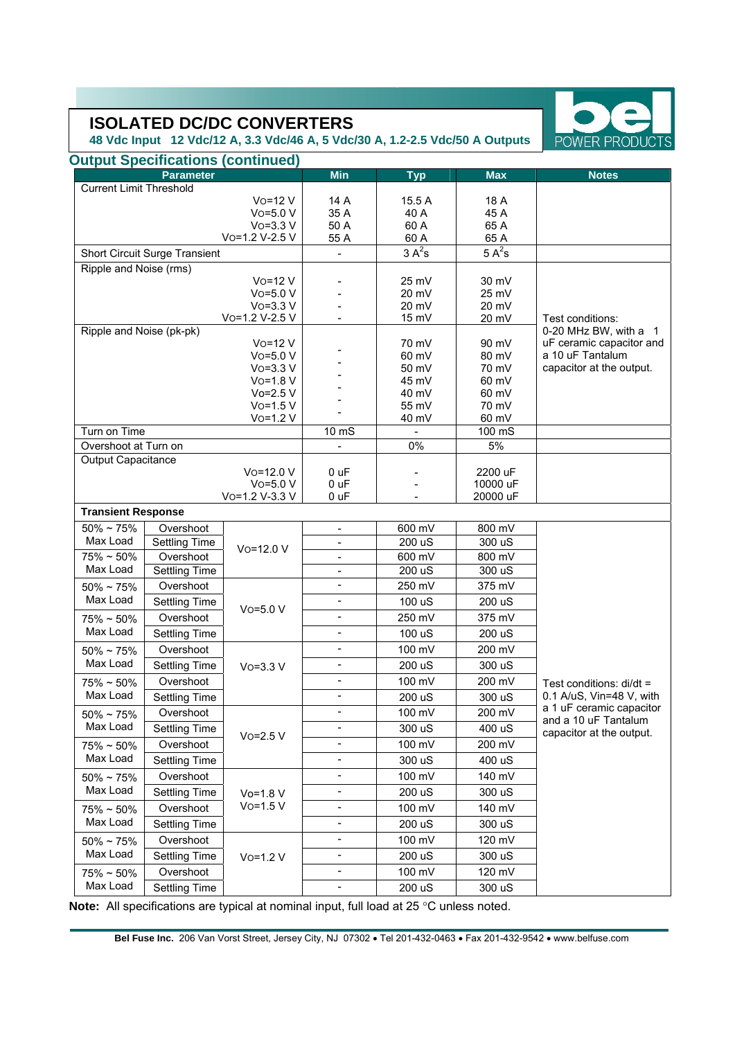**48 Vdc Input 12 Vdc/12 A, 3.3 Vdc/46 A, 5 Vdc/30 A, 1.2-2.5 Vdc/50 A Outputs** 

| <b>Parameter</b><br><b>Current Limit Threshold</b><br>$V$ o=12 $V$<br>14 A<br>15.5 A<br>18 A<br>$Vo=5.0 V$<br>35 A<br>45 A<br>40 A<br>$Vo=3.3 V$<br>50 A<br>60 A<br>65 A<br>55 A<br>60 A<br>65 A<br>Vo=1.2 V-2.5 V<br>$5A^2s$<br>$3A^2s$<br>Short Circuit Surge Transient<br>÷,<br>Ripple and Noise (rms)<br>$Vo=12V$<br>30 mV<br>25 mV<br>$Vo=5.0 V$<br>20 mV<br>25 mV<br>$V$ o=3.3 V<br>$20 \text{ mV}$<br>20 mV<br>Vo=1.2 V-2.5 V<br>15 mV<br>20 mV<br>Test conditions:<br>Ripple and Noise (pk-pk)<br>0-20 MHz BW, with a 1<br>90 mV<br>uF ceramic capacitor and<br>$V$ o=12 $V$<br>70 mV<br>$Vo=5.0 V$<br>60 mV<br>a 10 uF Tantalum<br>80 mV<br>$Vo=3.3 V$<br>50 mV<br>70 mV<br>capacitor at the output.<br>$Vo=1.8 V$<br>45 mV<br>60 mV<br>$Vo=2.5 V$<br>40 mV<br>60 mV<br>$V$ o=1.5 $V$<br>55 mV<br>70 mV<br>$V$ o=1.2 $V$<br>40 mV<br>60 mV<br>Turn on Time<br>100 mS<br>10 <sub>ms</sub><br>0%<br>5%<br>Overshoot at Turn on<br>Output Capacitance<br>Vo=12.0 V<br>2200 uF<br>0 uF<br>10000 uF<br>$Vo=5.0 V$<br>0 uF<br>Vo=1.2 V-3.3 V<br>0 uF<br>20000 uF<br><b>Transient Response</b><br>$50\%$ ~ 75%<br>600 mV<br>800 mV<br>Overshoot<br>$\blacksquare$<br>Max Load<br><b>Settling Time</b><br>200 uS<br>300 uS<br>$\frac{1}{2}$<br>Vo=12.0 V<br>Overshoot<br>600 mV<br>800 mV<br>$75\% \sim 50\%$<br>$\overline{\phantom{0}}$<br>Max Load<br><b>Settling Time</b><br>200 uS<br>300 uS<br>$\frac{1}{2}$<br>250 mV<br>375 mV<br>Overshoot<br>÷,<br>$50\% \sim 75\%$<br>Max Load<br>100 uS<br>200 uS<br><b>Settling Time</b><br>$\overline{\phantom{0}}$<br>$V$ o=5.0 $V$<br>Overshoot<br>250 mV<br>375 mV<br>÷,<br>$75\% \sim 50\%$<br>Max Load<br>$\frac{1}{2}$<br>100 uS<br>200 uS<br><b>Settling Time</b><br>100 mV<br>Overshoot<br>200 mV<br>$\frac{1}{2}$<br>$50\% \sim 75\%$<br>Max Load<br><b>Settling Time</b><br>$\frac{1}{2}$<br>200 uS<br>300 uS<br>$Vo=3.3 V$<br>Overshoot<br>100 mV<br>200 mV<br>$75\% \sim 50\%$<br>-<br>Test conditions: di/dt =<br>Max Load<br>0.1 A/uS, Vin=48 V, with<br>÷,<br><b>Settling Time</b><br>200 uS<br>300 uS<br>a 1 uF ceramic capacitor<br>100 mV<br>200 mV<br>Overshoot<br>$\overline{\phantom{0}}$<br>$50\% \sim 75\%$<br>and a 10 uF Tantalum<br>Max Load<br>300 uS<br>400 uS<br><b>Settling Time</b><br>$\qquad \qquad \blacksquare$<br>capacitor at the output.<br>$Vo=2.5 V$<br>$\blacksquare$<br>100 mV<br>200 mV<br>Overshoot<br>$75\% \sim 50\%$<br>Max Load<br><b>Settling Time</b><br>$\blacksquare$<br>300 uS<br>400 uS<br>100 mV<br>Overshoot<br>140 mV<br>$50\% \sim 75\%$<br>Max Load<br><b>Settling Time</b><br>200 uS<br>300 uS<br>-<br>$Vo=1.8 V$<br>$Vo=1.5 V$<br>100 mV<br>140 mV<br>Overshoot<br>-<br>$75\% \sim 50\%$<br>Max Load<br><b>Settling Time</b><br>$\qquad \qquad \blacksquare$<br>200 uS<br>300 uS<br>100 mV<br>Overshoot<br>120 mV<br>$\qquad \qquad \blacksquare$<br>$50\%$ ~ 75%<br>Max Load<br>$\blacksquare$<br><b>Settling Time</b><br>200 uS<br>300 uS<br>$V$ o=1.2 $V$<br>Overshoot<br>100 mV<br>120 mV<br>$75\% \sim 50\%$<br>Max Load<br><b>Settling Time</b><br>200 uS<br>300 uS<br>$\overline{\phantom{0}}$ | <b>Output Specifications (continued)</b> |            |            |            |              |  |
|-------------------------------------------------------------------------------------------------------------------------------------------------------------------------------------------------------------------------------------------------------------------------------------------------------------------------------------------------------------------------------------------------------------------------------------------------------------------------------------------------------------------------------------------------------------------------------------------------------------------------------------------------------------------------------------------------------------------------------------------------------------------------------------------------------------------------------------------------------------------------------------------------------------------------------------------------------------------------------------------------------------------------------------------------------------------------------------------------------------------------------------------------------------------------------------------------------------------------------------------------------------------------------------------------------------------------------------------------------------------------------------------------------------------------------------------------------------------------------------------------------------------------------------------------------------------------------------------------------------------------------------------------------------------------------------------------------------------------------------------------------------------------------------------------------------------------------------------------------------------------------------------------------------------------------------------------------------------------------------------------------------------------------------------------------------------------------------------------------------------------------------------------------------------------------------------------------------------------------------------------------------------------------------------------------------------------------------------------------------------------------------------------------------------------------------------------------------------------------------------------------------------------------------------------------------------------------------------------------------------------------------------------------------------------------------------------------------------------------------------------------------------------------------------------------------------------------------------------------------------------------------------------------------------------------------------------------------------------------------------------------------------------------------------------------------------------------------------------------------------|------------------------------------------|------------|------------|------------|--------------|--|
|                                                                                                                                                                                                                                                                                                                                                                                                                                                                                                                                                                                                                                                                                                                                                                                                                                                                                                                                                                                                                                                                                                                                                                                                                                                                                                                                                                                                                                                                                                                                                                                                                                                                                                                                                                                                                                                                                                                                                                                                                                                                                                                                                                                                                                                                                                                                                                                                                                                                                                                                                                                                                                                                                                                                                                                                                                                                                                                                                                                                                                                                                                                   |                                          | <b>Min</b> | <b>Typ</b> | <b>Max</b> | <b>Notes</b> |  |
|                                                                                                                                                                                                                                                                                                                                                                                                                                                                                                                                                                                                                                                                                                                                                                                                                                                                                                                                                                                                                                                                                                                                                                                                                                                                                                                                                                                                                                                                                                                                                                                                                                                                                                                                                                                                                                                                                                                                                                                                                                                                                                                                                                                                                                                                                                                                                                                                                                                                                                                                                                                                                                                                                                                                                                                                                                                                                                                                                                                                                                                                                                                   |                                          |            |            |            |              |  |
|                                                                                                                                                                                                                                                                                                                                                                                                                                                                                                                                                                                                                                                                                                                                                                                                                                                                                                                                                                                                                                                                                                                                                                                                                                                                                                                                                                                                                                                                                                                                                                                                                                                                                                                                                                                                                                                                                                                                                                                                                                                                                                                                                                                                                                                                                                                                                                                                                                                                                                                                                                                                                                                                                                                                                                                                                                                                                                                                                                                                                                                                                                                   |                                          |            |            |            |              |  |
|                                                                                                                                                                                                                                                                                                                                                                                                                                                                                                                                                                                                                                                                                                                                                                                                                                                                                                                                                                                                                                                                                                                                                                                                                                                                                                                                                                                                                                                                                                                                                                                                                                                                                                                                                                                                                                                                                                                                                                                                                                                                                                                                                                                                                                                                                                                                                                                                                                                                                                                                                                                                                                                                                                                                                                                                                                                                                                                                                                                                                                                                                                                   |                                          |            |            |            |              |  |
|                                                                                                                                                                                                                                                                                                                                                                                                                                                                                                                                                                                                                                                                                                                                                                                                                                                                                                                                                                                                                                                                                                                                                                                                                                                                                                                                                                                                                                                                                                                                                                                                                                                                                                                                                                                                                                                                                                                                                                                                                                                                                                                                                                                                                                                                                                                                                                                                                                                                                                                                                                                                                                                                                                                                                                                                                                                                                                                                                                                                                                                                                                                   |                                          |            |            |            |              |  |
|                                                                                                                                                                                                                                                                                                                                                                                                                                                                                                                                                                                                                                                                                                                                                                                                                                                                                                                                                                                                                                                                                                                                                                                                                                                                                                                                                                                                                                                                                                                                                                                                                                                                                                                                                                                                                                                                                                                                                                                                                                                                                                                                                                                                                                                                                                                                                                                                                                                                                                                                                                                                                                                                                                                                                                                                                                                                                                                                                                                                                                                                                                                   |                                          |            |            |            |              |  |
|                                                                                                                                                                                                                                                                                                                                                                                                                                                                                                                                                                                                                                                                                                                                                                                                                                                                                                                                                                                                                                                                                                                                                                                                                                                                                                                                                                                                                                                                                                                                                                                                                                                                                                                                                                                                                                                                                                                                                                                                                                                                                                                                                                                                                                                                                                                                                                                                                                                                                                                                                                                                                                                                                                                                                                                                                                                                                                                                                                                                                                                                                                                   |                                          |            |            |            |              |  |
|                                                                                                                                                                                                                                                                                                                                                                                                                                                                                                                                                                                                                                                                                                                                                                                                                                                                                                                                                                                                                                                                                                                                                                                                                                                                                                                                                                                                                                                                                                                                                                                                                                                                                                                                                                                                                                                                                                                                                                                                                                                                                                                                                                                                                                                                                                                                                                                                                                                                                                                                                                                                                                                                                                                                                                                                                                                                                                                                                                                                                                                                                                                   |                                          |            |            |            |              |  |
|                                                                                                                                                                                                                                                                                                                                                                                                                                                                                                                                                                                                                                                                                                                                                                                                                                                                                                                                                                                                                                                                                                                                                                                                                                                                                                                                                                                                                                                                                                                                                                                                                                                                                                                                                                                                                                                                                                                                                                                                                                                                                                                                                                                                                                                                                                                                                                                                                                                                                                                                                                                                                                                                                                                                                                                                                                                                                                                                                                                                                                                                                                                   |                                          |            |            |            |              |  |
|                                                                                                                                                                                                                                                                                                                                                                                                                                                                                                                                                                                                                                                                                                                                                                                                                                                                                                                                                                                                                                                                                                                                                                                                                                                                                                                                                                                                                                                                                                                                                                                                                                                                                                                                                                                                                                                                                                                                                                                                                                                                                                                                                                                                                                                                                                                                                                                                                                                                                                                                                                                                                                                                                                                                                                                                                                                                                                                                                                                                                                                                                                                   |                                          |            |            |            |              |  |
|                                                                                                                                                                                                                                                                                                                                                                                                                                                                                                                                                                                                                                                                                                                                                                                                                                                                                                                                                                                                                                                                                                                                                                                                                                                                                                                                                                                                                                                                                                                                                                                                                                                                                                                                                                                                                                                                                                                                                                                                                                                                                                                                                                                                                                                                                                                                                                                                                                                                                                                                                                                                                                                                                                                                                                                                                                                                                                                                                                                                                                                                                                                   |                                          |            |            |            |              |  |
|                                                                                                                                                                                                                                                                                                                                                                                                                                                                                                                                                                                                                                                                                                                                                                                                                                                                                                                                                                                                                                                                                                                                                                                                                                                                                                                                                                                                                                                                                                                                                                                                                                                                                                                                                                                                                                                                                                                                                                                                                                                                                                                                                                                                                                                                                                                                                                                                                                                                                                                                                                                                                                                                                                                                                                                                                                                                                                                                                                                                                                                                                                                   |                                          |            |            |            |              |  |
|                                                                                                                                                                                                                                                                                                                                                                                                                                                                                                                                                                                                                                                                                                                                                                                                                                                                                                                                                                                                                                                                                                                                                                                                                                                                                                                                                                                                                                                                                                                                                                                                                                                                                                                                                                                                                                                                                                                                                                                                                                                                                                                                                                                                                                                                                                                                                                                                                                                                                                                                                                                                                                                                                                                                                                                                                                                                                                                                                                                                                                                                                                                   |                                          |            |            |            |              |  |
|                                                                                                                                                                                                                                                                                                                                                                                                                                                                                                                                                                                                                                                                                                                                                                                                                                                                                                                                                                                                                                                                                                                                                                                                                                                                                                                                                                                                                                                                                                                                                                                                                                                                                                                                                                                                                                                                                                                                                                                                                                                                                                                                                                                                                                                                                                                                                                                                                                                                                                                                                                                                                                                                                                                                                                                                                                                                                                                                                                                                                                                                                                                   |                                          |            |            |            |              |  |
|                                                                                                                                                                                                                                                                                                                                                                                                                                                                                                                                                                                                                                                                                                                                                                                                                                                                                                                                                                                                                                                                                                                                                                                                                                                                                                                                                                                                                                                                                                                                                                                                                                                                                                                                                                                                                                                                                                                                                                                                                                                                                                                                                                                                                                                                                                                                                                                                                                                                                                                                                                                                                                                                                                                                                                                                                                                                                                                                                                                                                                                                                                                   |                                          |            |            |            |              |  |
|                                                                                                                                                                                                                                                                                                                                                                                                                                                                                                                                                                                                                                                                                                                                                                                                                                                                                                                                                                                                                                                                                                                                                                                                                                                                                                                                                                                                                                                                                                                                                                                                                                                                                                                                                                                                                                                                                                                                                                                                                                                                                                                                                                                                                                                                                                                                                                                                                                                                                                                                                                                                                                                                                                                                                                                                                                                                                                                                                                                                                                                                                                                   |                                          |            |            |            |              |  |
|                                                                                                                                                                                                                                                                                                                                                                                                                                                                                                                                                                                                                                                                                                                                                                                                                                                                                                                                                                                                                                                                                                                                                                                                                                                                                                                                                                                                                                                                                                                                                                                                                                                                                                                                                                                                                                                                                                                                                                                                                                                                                                                                                                                                                                                                                                                                                                                                                                                                                                                                                                                                                                                                                                                                                                                                                                                                                                                                                                                                                                                                                                                   |                                          |            |            |            |              |  |
|                                                                                                                                                                                                                                                                                                                                                                                                                                                                                                                                                                                                                                                                                                                                                                                                                                                                                                                                                                                                                                                                                                                                                                                                                                                                                                                                                                                                                                                                                                                                                                                                                                                                                                                                                                                                                                                                                                                                                                                                                                                                                                                                                                                                                                                                                                                                                                                                                                                                                                                                                                                                                                                                                                                                                                                                                                                                                                                                                                                                                                                                                                                   |                                          |            |            |            |              |  |
|                                                                                                                                                                                                                                                                                                                                                                                                                                                                                                                                                                                                                                                                                                                                                                                                                                                                                                                                                                                                                                                                                                                                                                                                                                                                                                                                                                                                                                                                                                                                                                                                                                                                                                                                                                                                                                                                                                                                                                                                                                                                                                                                                                                                                                                                                                                                                                                                                                                                                                                                                                                                                                                                                                                                                                                                                                                                                                                                                                                                                                                                                                                   |                                          |            |            |            |              |  |
|                                                                                                                                                                                                                                                                                                                                                                                                                                                                                                                                                                                                                                                                                                                                                                                                                                                                                                                                                                                                                                                                                                                                                                                                                                                                                                                                                                                                                                                                                                                                                                                                                                                                                                                                                                                                                                                                                                                                                                                                                                                                                                                                                                                                                                                                                                                                                                                                                                                                                                                                                                                                                                                                                                                                                                                                                                                                                                                                                                                                                                                                                                                   |                                          |            |            |            |              |  |
|                                                                                                                                                                                                                                                                                                                                                                                                                                                                                                                                                                                                                                                                                                                                                                                                                                                                                                                                                                                                                                                                                                                                                                                                                                                                                                                                                                                                                                                                                                                                                                                                                                                                                                                                                                                                                                                                                                                                                                                                                                                                                                                                                                                                                                                                                                                                                                                                                                                                                                                                                                                                                                                                                                                                                                                                                                                                                                                                                                                                                                                                                                                   |                                          |            |            |            |              |  |
|                                                                                                                                                                                                                                                                                                                                                                                                                                                                                                                                                                                                                                                                                                                                                                                                                                                                                                                                                                                                                                                                                                                                                                                                                                                                                                                                                                                                                                                                                                                                                                                                                                                                                                                                                                                                                                                                                                                                                                                                                                                                                                                                                                                                                                                                                                                                                                                                                                                                                                                                                                                                                                                                                                                                                                                                                                                                                                                                                                                                                                                                                                                   |                                          |            |            |            |              |  |
|                                                                                                                                                                                                                                                                                                                                                                                                                                                                                                                                                                                                                                                                                                                                                                                                                                                                                                                                                                                                                                                                                                                                                                                                                                                                                                                                                                                                                                                                                                                                                                                                                                                                                                                                                                                                                                                                                                                                                                                                                                                                                                                                                                                                                                                                                                                                                                                                                                                                                                                                                                                                                                                                                                                                                                                                                                                                                                                                                                                                                                                                                                                   |                                          |            |            |            |              |  |
|                                                                                                                                                                                                                                                                                                                                                                                                                                                                                                                                                                                                                                                                                                                                                                                                                                                                                                                                                                                                                                                                                                                                                                                                                                                                                                                                                                                                                                                                                                                                                                                                                                                                                                                                                                                                                                                                                                                                                                                                                                                                                                                                                                                                                                                                                                                                                                                                                                                                                                                                                                                                                                                                                                                                                                                                                                                                                                                                                                                                                                                                                                                   |                                          |            |            |            |              |  |
|                                                                                                                                                                                                                                                                                                                                                                                                                                                                                                                                                                                                                                                                                                                                                                                                                                                                                                                                                                                                                                                                                                                                                                                                                                                                                                                                                                                                                                                                                                                                                                                                                                                                                                                                                                                                                                                                                                                                                                                                                                                                                                                                                                                                                                                                                                                                                                                                                                                                                                                                                                                                                                                                                                                                                                                                                                                                                                                                                                                                                                                                                                                   |                                          |            |            |            |              |  |
|                                                                                                                                                                                                                                                                                                                                                                                                                                                                                                                                                                                                                                                                                                                                                                                                                                                                                                                                                                                                                                                                                                                                                                                                                                                                                                                                                                                                                                                                                                                                                                                                                                                                                                                                                                                                                                                                                                                                                                                                                                                                                                                                                                                                                                                                                                                                                                                                                                                                                                                                                                                                                                                                                                                                                                                                                                                                                                                                                                                                                                                                                                                   |                                          |            |            |            |              |  |
|                                                                                                                                                                                                                                                                                                                                                                                                                                                                                                                                                                                                                                                                                                                                                                                                                                                                                                                                                                                                                                                                                                                                                                                                                                                                                                                                                                                                                                                                                                                                                                                                                                                                                                                                                                                                                                                                                                                                                                                                                                                                                                                                                                                                                                                                                                                                                                                                                                                                                                                                                                                                                                                                                                                                                                                                                                                                                                                                                                                                                                                                                                                   |                                          |            |            |            |              |  |
|                                                                                                                                                                                                                                                                                                                                                                                                                                                                                                                                                                                                                                                                                                                                                                                                                                                                                                                                                                                                                                                                                                                                                                                                                                                                                                                                                                                                                                                                                                                                                                                                                                                                                                                                                                                                                                                                                                                                                                                                                                                                                                                                                                                                                                                                                                                                                                                                                                                                                                                                                                                                                                                                                                                                                                                                                                                                                                                                                                                                                                                                                                                   |                                          |            |            |            |              |  |
|                                                                                                                                                                                                                                                                                                                                                                                                                                                                                                                                                                                                                                                                                                                                                                                                                                                                                                                                                                                                                                                                                                                                                                                                                                                                                                                                                                                                                                                                                                                                                                                                                                                                                                                                                                                                                                                                                                                                                                                                                                                                                                                                                                                                                                                                                                                                                                                                                                                                                                                                                                                                                                                                                                                                                                                                                                                                                                                                                                                                                                                                                                                   |                                          |            |            |            |              |  |
|                                                                                                                                                                                                                                                                                                                                                                                                                                                                                                                                                                                                                                                                                                                                                                                                                                                                                                                                                                                                                                                                                                                                                                                                                                                                                                                                                                                                                                                                                                                                                                                                                                                                                                                                                                                                                                                                                                                                                                                                                                                                                                                                                                                                                                                                                                                                                                                                                                                                                                                                                                                                                                                                                                                                                                                                                                                                                                                                                                                                                                                                                                                   |                                          |            |            |            |              |  |
|                                                                                                                                                                                                                                                                                                                                                                                                                                                                                                                                                                                                                                                                                                                                                                                                                                                                                                                                                                                                                                                                                                                                                                                                                                                                                                                                                                                                                                                                                                                                                                                                                                                                                                                                                                                                                                                                                                                                                                                                                                                                                                                                                                                                                                                                                                                                                                                                                                                                                                                                                                                                                                                                                                                                                                                                                                                                                                                                                                                                                                                                                                                   |                                          |            |            |            |              |  |
|                                                                                                                                                                                                                                                                                                                                                                                                                                                                                                                                                                                                                                                                                                                                                                                                                                                                                                                                                                                                                                                                                                                                                                                                                                                                                                                                                                                                                                                                                                                                                                                                                                                                                                                                                                                                                                                                                                                                                                                                                                                                                                                                                                                                                                                                                                                                                                                                                                                                                                                                                                                                                                                                                                                                                                                                                                                                                                                                                                                                                                                                                                                   |                                          |            |            |            |              |  |
|                                                                                                                                                                                                                                                                                                                                                                                                                                                                                                                                                                                                                                                                                                                                                                                                                                                                                                                                                                                                                                                                                                                                                                                                                                                                                                                                                                                                                                                                                                                                                                                                                                                                                                                                                                                                                                                                                                                                                                                                                                                                                                                                                                                                                                                                                                                                                                                                                                                                                                                                                                                                                                                                                                                                                                                                                                                                                                                                                                                                                                                                                                                   |                                          |            |            |            |              |  |
|                                                                                                                                                                                                                                                                                                                                                                                                                                                                                                                                                                                                                                                                                                                                                                                                                                                                                                                                                                                                                                                                                                                                                                                                                                                                                                                                                                                                                                                                                                                                                                                                                                                                                                                                                                                                                                                                                                                                                                                                                                                                                                                                                                                                                                                                                                                                                                                                                                                                                                                                                                                                                                                                                                                                                                                                                                                                                                                                                                                                                                                                                                                   |                                          |            |            |            |              |  |
|                                                                                                                                                                                                                                                                                                                                                                                                                                                                                                                                                                                                                                                                                                                                                                                                                                                                                                                                                                                                                                                                                                                                                                                                                                                                                                                                                                                                                                                                                                                                                                                                                                                                                                                                                                                                                                                                                                                                                                                                                                                                                                                                                                                                                                                                                                                                                                                                                                                                                                                                                                                                                                                                                                                                                                                                                                                                                                                                                                                                                                                                                                                   |                                          |            |            |            |              |  |
|                                                                                                                                                                                                                                                                                                                                                                                                                                                                                                                                                                                                                                                                                                                                                                                                                                                                                                                                                                                                                                                                                                                                                                                                                                                                                                                                                                                                                                                                                                                                                                                                                                                                                                                                                                                                                                                                                                                                                                                                                                                                                                                                                                                                                                                                                                                                                                                                                                                                                                                                                                                                                                                                                                                                                                                                                                                                                                                                                                                                                                                                                                                   |                                          |            |            |            |              |  |
|                                                                                                                                                                                                                                                                                                                                                                                                                                                                                                                                                                                                                                                                                                                                                                                                                                                                                                                                                                                                                                                                                                                                                                                                                                                                                                                                                                                                                                                                                                                                                                                                                                                                                                                                                                                                                                                                                                                                                                                                                                                                                                                                                                                                                                                                                                                                                                                                                                                                                                                                                                                                                                                                                                                                                                                                                                                                                                                                                                                                                                                                                                                   |                                          |            |            |            |              |  |
|                                                                                                                                                                                                                                                                                                                                                                                                                                                                                                                                                                                                                                                                                                                                                                                                                                                                                                                                                                                                                                                                                                                                                                                                                                                                                                                                                                                                                                                                                                                                                                                                                                                                                                                                                                                                                                                                                                                                                                                                                                                                                                                                                                                                                                                                                                                                                                                                                                                                                                                                                                                                                                                                                                                                                                                                                                                                                                                                                                                                                                                                                                                   |                                          |            |            |            |              |  |
|                                                                                                                                                                                                                                                                                                                                                                                                                                                                                                                                                                                                                                                                                                                                                                                                                                                                                                                                                                                                                                                                                                                                                                                                                                                                                                                                                                                                                                                                                                                                                                                                                                                                                                                                                                                                                                                                                                                                                                                                                                                                                                                                                                                                                                                                                                                                                                                                                                                                                                                                                                                                                                                                                                                                                                                                                                                                                                                                                                                                                                                                                                                   |                                          |            |            |            |              |  |
|                                                                                                                                                                                                                                                                                                                                                                                                                                                                                                                                                                                                                                                                                                                                                                                                                                                                                                                                                                                                                                                                                                                                                                                                                                                                                                                                                                                                                                                                                                                                                                                                                                                                                                                                                                                                                                                                                                                                                                                                                                                                                                                                                                                                                                                                                                                                                                                                                                                                                                                                                                                                                                                                                                                                                                                                                                                                                                                                                                                                                                                                                                                   |                                          |            |            |            |              |  |
|                                                                                                                                                                                                                                                                                                                                                                                                                                                                                                                                                                                                                                                                                                                                                                                                                                                                                                                                                                                                                                                                                                                                                                                                                                                                                                                                                                                                                                                                                                                                                                                                                                                                                                                                                                                                                                                                                                                                                                                                                                                                                                                                                                                                                                                                                                                                                                                                                                                                                                                                                                                                                                                                                                                                                                                                                                                                                                                                                                                                                                                                                                                   |                                          |            |            |            |              |  |
|                                                                                                                                                                                                                                                                                                                                                                                                                                                                                                                                                                                                                                                                                                                                                                                                                                                                                                                                                                                                                                                                                                                                                                                                                                                                                                                                                                                                                                                                                                                                                                                                                                                                                                                                                                                                                                                                                                                                                                                                                                                                                                                                                                                                                                                                                                                                                                                                                                                                                                                                                                                                                                                                                                                                                                                                                                                                                                                                                                                                                                                                                                                   |                                          |            |            |            |              |  |
|                                                                                                                                                                                                                                                                                                                                                                                                                                                                                                                                                                                                                                                                                                                                                                                                                                                                                                                                                                                                                                                                                                                                                                                                                                                                                                                                                                                                                                                                                                                                                                                                                                                                                                                                                                                                                                                                                                                                                                                                                                                                                                                                                                                                                                                                                                                                                                                                                                                                                                                                                                                                                                                                                                                                                                                                                                                                                                                                                                                                                                                                                                                   |                                          |            |            |            |              |  |
|                                                                                                                                                                                                                                                                                                                                                                                                                                                                                                                                                                                                                                                                                                                                                                                                                                                                                                                                                                                                                                                                                                                                                                                                                                                                                                                                                                                                                                                                                                                                                                                                                                                                                                                                                                                                                                                                                                                                                                                                                                                                                                                                                                                                                                                                                                                                                                                                                                                                                                                                                                                                                                                                                                                                                                                                                                                                                                                                                                                                                                                                                                                   |                                          |            |            |            |              |  |
|                                                                                                                                                                                                                                                                                                                                                                                                                                                                                                                                                                                                                                                                                                                                                                                                                                                                                                                                                                                                                                                                                                                                                                                                                                                                                                                                                                                                                                                                                                                                                                                                                                                                                                                                                                                                                                                                                                                                                                                                                                                                                                                                                                                                                                                                                                                                                                                                                                                                                                                                                                                                                                                                                                                                                                                                                                                                                                                                                                                                                                                                                                                   |                                          |            |            |            |              |  |
|                                                                                                                                                                                                                                                                                                                                                                                                                                                                                                                                                                                                                                                                                                                                                                                                                                                                                                                                                                                                                                                                                                                                                                                                                                                                                                                                                                                                                                                                                                                                                                                                                                                                                                                                                                                                                                                                                                                                                                                                                                                                                                                                                                                                                                                                                                                                                                                                                                                                                                                                                                                                                                                                                                                                                                                                                                                                                                                                                                                                                                                                                                                   |                                          |            |            |            |              |  |
|                                                                                                                                                                                                                                                                                                                                                                                                                                                                                                                                                                                                                                                                                                                                                                                                                                                                                                                                                                                                                                                                                                                                                                                                                                                                                                                                                                                                                                                                                                                                                                                                                                                                                                                                                                                                                                                                                                                                                                                                                                                                                                                                                                                                                                                                                                                                                                                                                                                                                                                                                                                                                                                                                                                                                                                                                                                                                                                                                                                                                                                                                                                   |                                          |            |            |            |              |  |
|                                                                                                                                                                                                                                                                                                                                                                                                                                                                                                                                                                                                                                                                                                                                                                                                                                                                                                                                                                                                                                                                                                                                                                                                                                                                                                                                                                                                                                                                                                                                                                                                                                                                                                                                                                                                                                                                                                                                                                                                                                                                                                                                                                                                                                                                                                                                                                                                                                                                                                                                                                                                                                                                                                                                                                                                                                                                                                                                                                                                                                                                                                                   |                                          |            |            |            |              |  |
|                                                                                                                                                                                                                                                                                                                                                                                                                                                                                                                                                                                                                                                                                                                                                                                                                                                                                                                                                                                                                                                                                                                                                                                                                                                                                                                                                                                                                                                                                                                                                                                                                                                                                                                                                                                                                                                                                                                                                                                                                                                                                                                                                                                                                                                                                                                                                                                                                                                                                                                                                                                                                                                                                                                                                                                                                                                                                                                                                                                                                                                                                                                   |                                          |            |            |            |              |  |

**Note:** All specifications are typical at nominal input, full load at 25 °C unless noted.

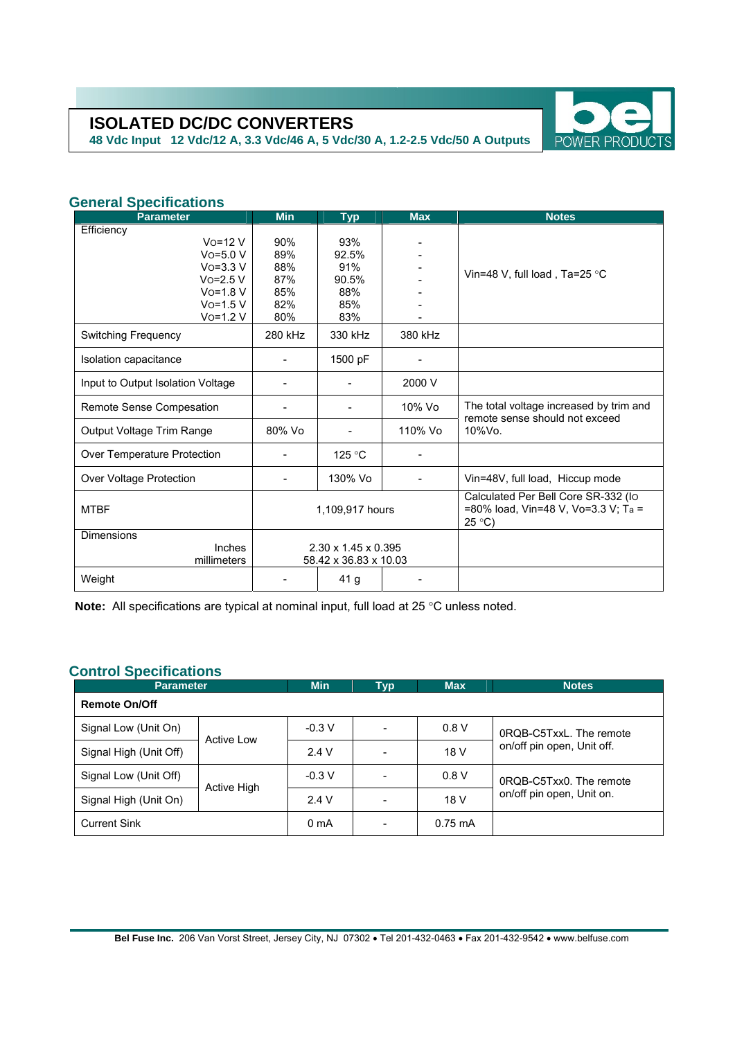**48 Vdc Input 12 Vdc/12 A, 3.3 Vdc/46 A, 5 Vdc/30 A, 1.2-2.5 Vdc/50 A Outputs** 



## **General Specifications**

| <b>Parameter</b>                  | <b>Min</b>                      | <b>Typ</b> | <b>Max</b> | <b>Notes</b>                                                                                  |  |
|-----------------------------------|---------------------------------|------------|------------|-----------------------------------------------------------------------------------------------|--|
| Efficiency                        |                                 |            |            |                                                                                               |  |
| $Vo=12V$                          | 90%                             | 93%        |            |                                                                                               |  |
| $VO=5.0 V$                        | 89%                             | 92.5%      |            |                                                                                               |  |
| $VO=3.3 V$                        | 88%                             | 91%        |            | Vin=48 V, full load, Ta=25 °C                                                                 |  |
| $Vo=2.5 V$                        | 87%                             | 90.5%      |            |                                                                                               |  |
| $V$ o=1.8 $V$                     | 85%                             | 88%        |            |                                                                                               |  |
| $V$ o=1.5 V                       | 82%                             | 85%        |            |                                                                                               |  |
| $V$ o=1.2 $V$                     | 80%                             | 83%        |            |                                                                                               |  |
| <b>Switching Frequency</b>        | 280 kHz                         | 330 kHz    | 380 kHz    |                                                                                               |  |
| Isolation capacitance             |                                 | 1500 pF    |            |                                                                                               |  |
| Input to Output Isolation Voltage |                                 |            | 2000 V     |                                                                                               |  |
| Remote Sense Compesation          |                                 |            | 10% Vo     | The total voltage increased by trim and<br>remote sense should not exceed<br>$10\%$ Vo.       |  |
| Output Voltage Trim Range         | 80% Vo                          |            | 110% Vo    |                                                                                               |  |
| Over Temperature Protection       |                                 | 125 °C     |            |                                                                                               |  |
| Over Voltage Protection           |                                 | 130% Vo    |            | Vin=48V, full load, Hiccup mode                                                               |  |
| <b>MTBF</b>                       | 1,109,917 hours                 |            |            | Calculated Per Bell Core SR-332 (Io<br>=80% load, Vin=48 V, Vo=3.3 V; Ta =<br>$25^{\circ}$ C) |  |
| <b>Dimensions</b>                 |                                 |            |            |                                                                                               |  |
| Inches                            | $2.30 \times 1.45 \times 0.395$ |            |            |                                                                                               |  |
| millimeters                       | 58.42 x 36.83 x 10.03           |            |            |                                                                                               |  |
| Weight                            |                                 | 41 g       |            |                                                                                               |  |

**Note:** All specifications are typical at nominal input, full load at 25 °C unless noted.

## **Control Specifications**

| <b>Parameter</b>       | <b>Min</b>  | Typ              | <b>Max</b> | <b>Notes</b>      |                                                                                  |  |  |  |
|------------------------|-------------|------------------|------------|-------------------|----------------------------------------------------------------------------------|--|--|--|
| <b>Remote On/Off</b>   |             |                  |            |                   |                                                                                  |  |  |  |
| Signal Low (Unit On)   | Active Low  | $-0.3 V$         | -          | 0.8V              | 0RQB-C5TxxL. The remote<br>on/off pin open, Unit off.<br>0RQB-C5Txx0. The remote |  |  |  |
| Signal High (Unit Off) |             | 2.4V             |            | 18 V              |                                                                                  |  |  |  |
| Signal Low (Unit Off)  | Active High | $-0.3$ V         |            | 0.8V              |                                                                                  |  |  |  |
| Signal High (Unit On)  |             | 2.4V             |            | 18 V              | on/off pin open, Unit on.                                                        |  |  |  |
| <b>Current Sink</b>    |             | 0 <sub>m</sub> A |            | $0.75 \text{ mA}$ |                                                                                  |  |  |  |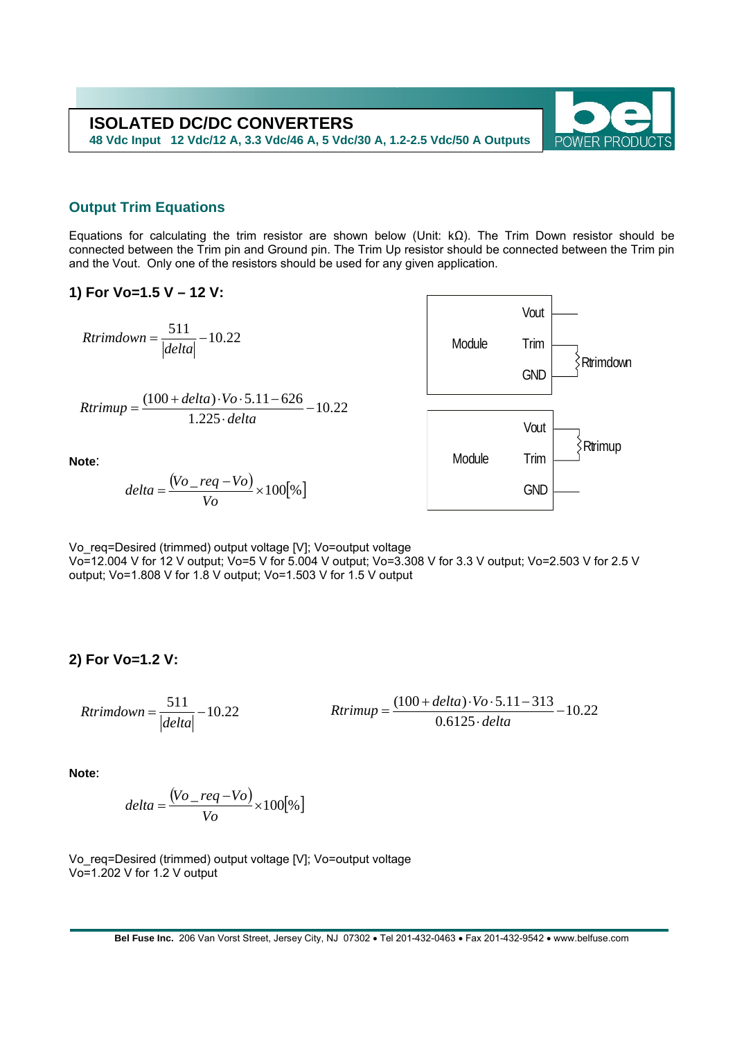

## **Output Trim Equations**

Equations for calculating the trim resistor are shown below (Unit: kΩ). The Trim Down resistor should be connected between the Trim pin and Ground pin. The Trim Up resistor should be connected between the Trim pin and the Vout. Only one of the resistors should be used for any given application.

#### **1) For Vo=1.5 V – 12 V:**

 $Rtrimdown = \frac{511}{|delta|} - 10.22$ 

$$
Rtrimup = \frac{(100 + delta) \cdot Vo \cdot 5.11 - 626}{1.225 \cdot delta} - 10.22
$$



**Note**:

$$
delta = \frac{(Vo - req - Vo)}{Vo} \times 100[\%]
$$

Vo\_req=Desired (trimmed) output voltage [V]; Vo=output voltage Vo=12.004 V for 12 V output; Vo=5 V for 5.004 V output; Vo=3.308 V for 3.3 V output; Vo=2.503 V for 2.5 V output; Vo=1.808 V for 1.8 V output; Vo=1.503 V for 1.5 V output

**2) For Vo=1.2 V:** 

10.22  $=\frac{511}{|delta|} - 10.22$  *Rtrimup*  $=\frac{(100 + delta) \cdot Vo \cdot 5.11 - 313}{0.6125 \cdot delta}$  $Rtrimdown = \frac{511}{|delta|} - 10.22$ 

**Note**:

$$
delta = \frac{(Vo - req - Vo)}{Vo} \times 100[\%]
$$

Vo\_req=Desired (trimmed) output voltage [V]; Vo=output voltage Vo=1.202 V for 1.2 V output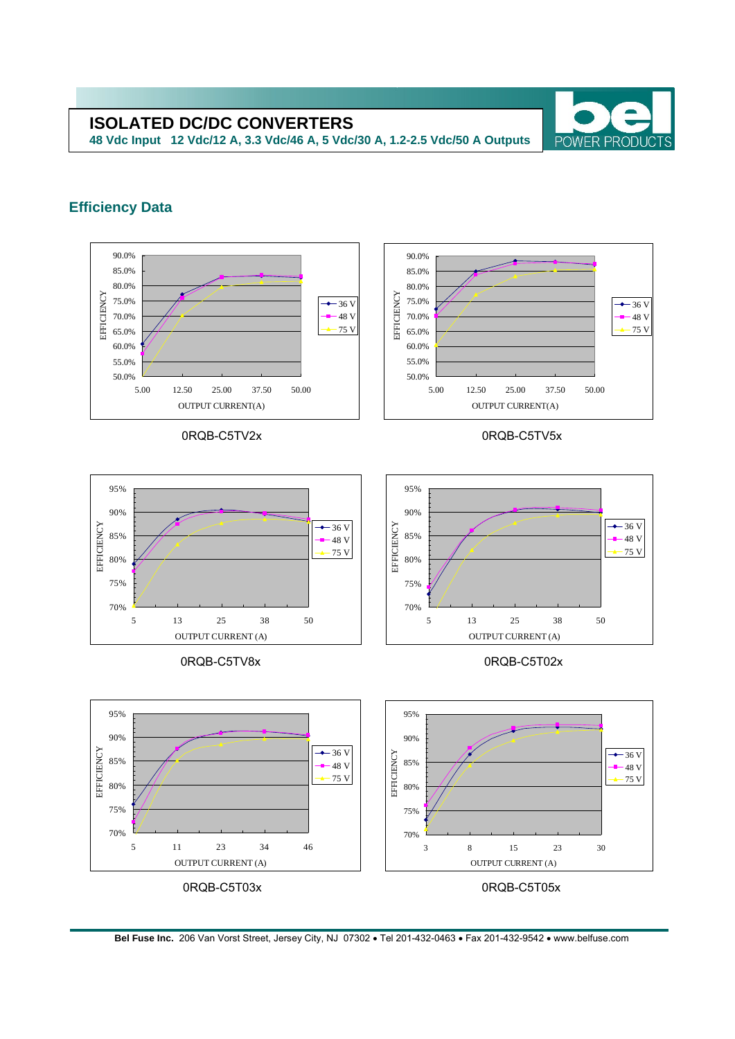**48 Vdc Input 12 Vdc/12 A, 3.3 Vdc/46 A, 5 Vdc/30 A, 1.2-2.5 Vdc/50 A Outputs** 



## **Efficiency Data**



0RQB-C5TV8x 0RQB-C5T02x



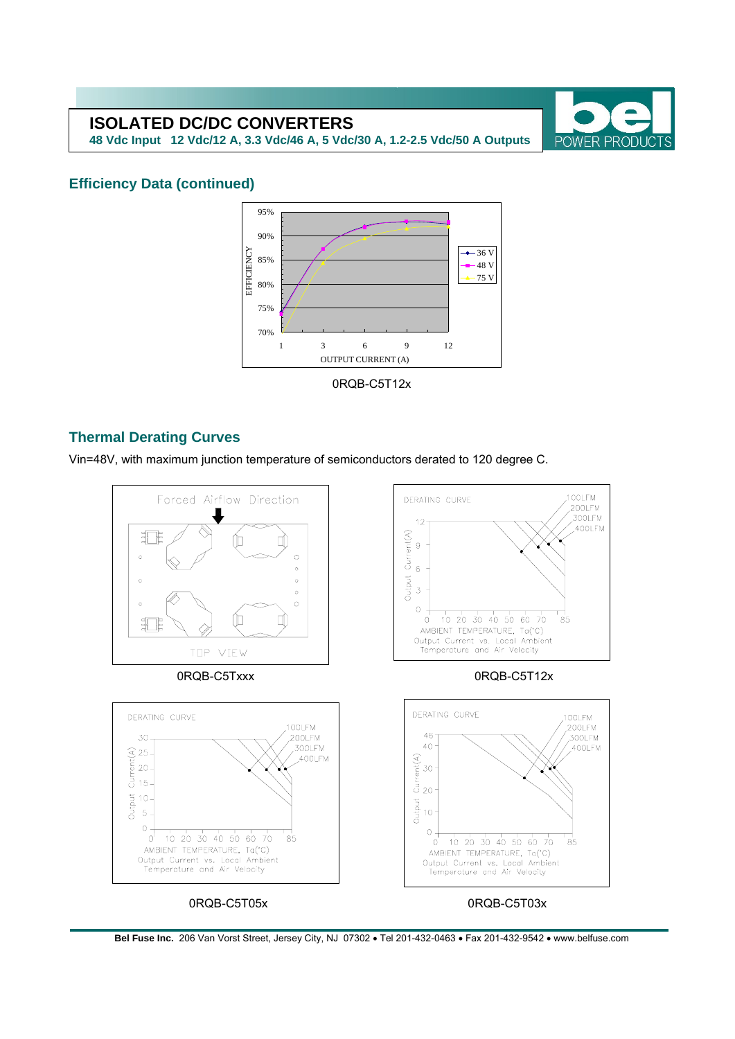**48 Vdc Input 12 Vdc/12 A, 3.3 Vdc/46 A, 5 Vdc/30 A, 1.2-2.5 Vdc/50 A Outputs** 



## **Efficiency Data (continued)**



## **Thermal Derating Curves**

Vin=48V, with maximum junction temperature of semiconductors derated to 120 degree C.



**Bel Fuse Inc.** 206 Van Vorst Street, Jersey City, NJ 07302 • Tel 201-432-0463 • Fax 201-432-9542 • www.belfuse.com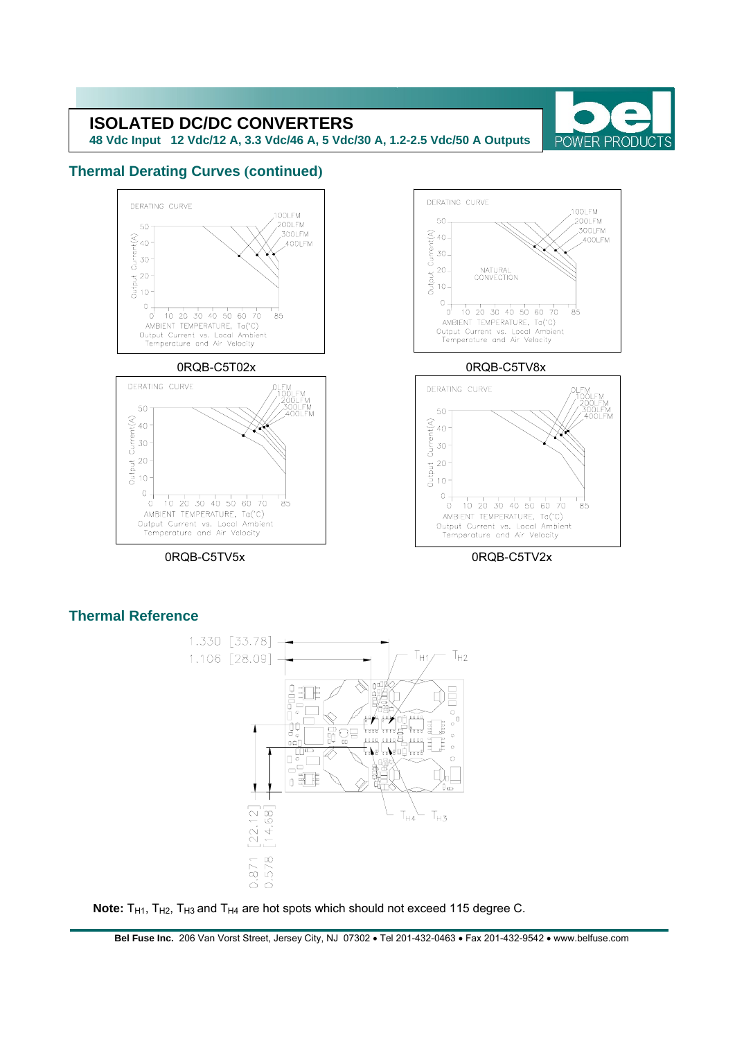**48 Vdc Input 12 Vdc/12 A, 3.3 Vdc/46 A, 5 Vdc/30 A, 1.2-2.5 Vdc/50 A Outputs** 



## **Thermal Derating Curves (continued)**



## **Thermal Reference**



Note: T<sub>H1</sub>, T<sub>H2</sub>, T<sub>H3</sub> and T<sub>H4</sub> are hot spots which should not exceed 115 degree C.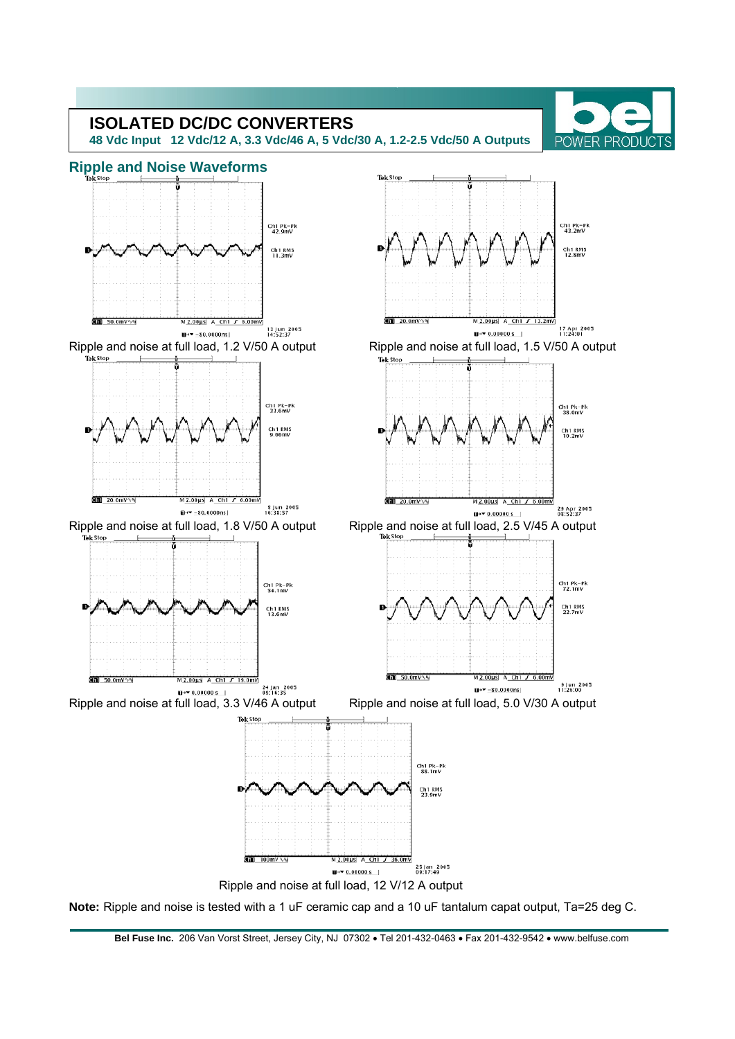

**Bel Fuse Inc.** 206 Van Vorst Street, Jersey City, NJ 07302 • Tel 201-432-0463 • Fax 201-432-9542 • www.belfuse.com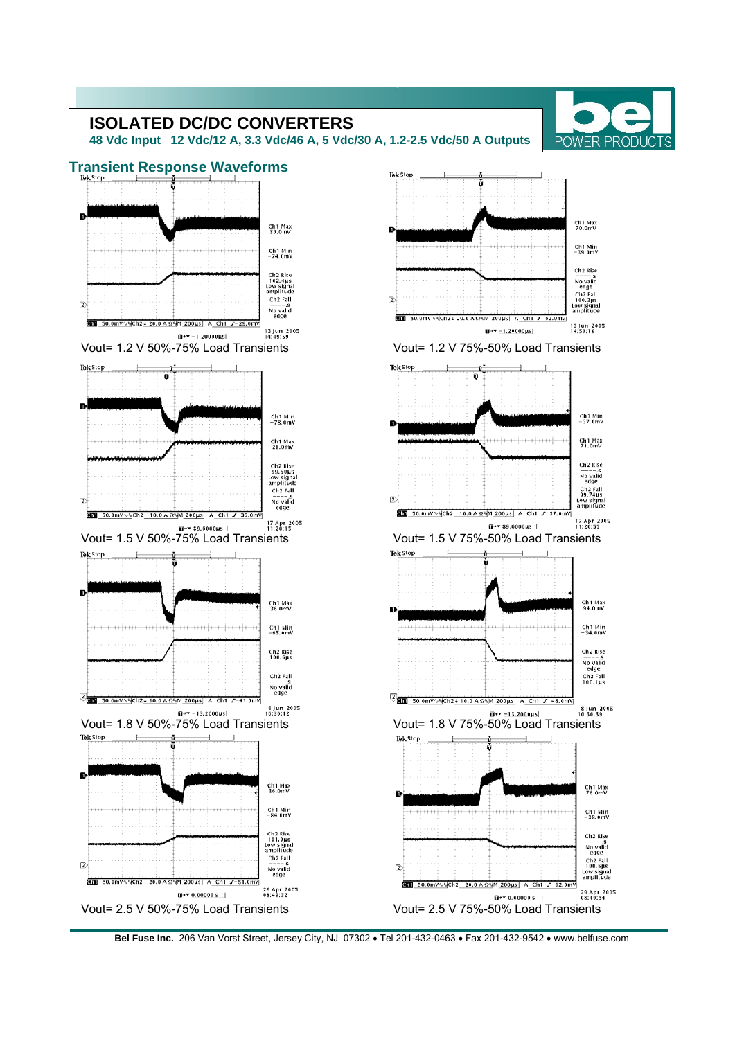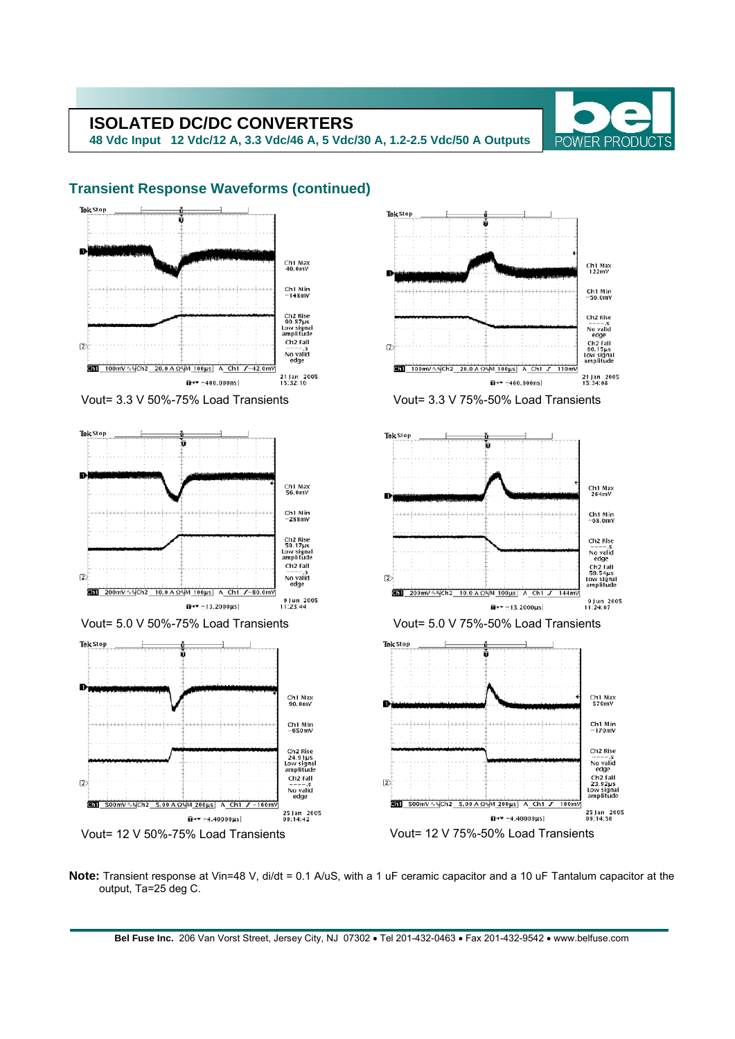**48 Vdc Input 12 Vdc/12 A, 3.3 Vdc/46 A, 5 Vdc/30 A, 1.2-2.5 Vdc/50 A Outputs** 



#### Tek Stop Tek Stop n. Ch1 Max<br>40.0mV Ch1 Max<br>122mV  $Ch1$  Min<br>-148mV  $Ch1$  Min<br> $-56$  0mV Ch2 Rise<br>90.87µs<br>Low signal<br>amplitude Ch<sub>2</sub> Rise ------s<br>
No valid<br>
edge<br>
Ch2 Fall<br>
90.15µs<br>
Low signal<br>
amplitude Ch<sub>2</sub> Fall  $\bar{2}$  $\overline{2}$ No valid<br>edge **En 100mV**  $\sqrt{C}h^2$  20.0 A  $\Omega$ VM 100us A Ch1  $J-42.0$ mV  $\overline{300}$  100mV  $\sqrt{5}$ Ch2 20.0 A  $\Omega$ <sup>5</sup>M 100us A Ch1 J 21 Jan 2005<br>15:32:10 21 Jan 2005<br>15:34:08  $\overline{u}$ +  $\overline{v}$  -400,000ns  $\overline{u}$ + $\overline{v}$  -400.000ns Vout= 3.3 V 50%-75% Load Transients Vout= 3.3 V 75%-50% Load Transients Tek Stop Tek Stop Ch1 Max<br>56.0mV Ch1 Max<br>264mV  $Ch1$  Min<br>-288mV Ch1 Min<br>-68.0mV Ch2 Rise<br>59.17µs<br>Low signal<br>amplitude Ch<sub>2</sub> Rise No valid<br>edge eage<br>Ch2 Fall<br>59.54µs<br>Low signal<br>amplitude Ch<sub>2</sub> Fall No valid<br>edge  $\bar{2}$  $\overline{2}$ **Chi** 200mV  $\sqrt{N}$ Ch2 10.0 A  $\Omega$ MM 100us A Ch1  $J$ -80.0 GDD 200mV∿% Ch2 10.0 A Ω% M\_100 μs A\_Ch1 J 9 Jun 2005<br>11:23:44  $9$  Jun 2005<br>11:24:07  $\overline{u}$ + = 13.2000µs  $\overline{u}$ +  $\overline{v}$  - 13.2000us Vout= 5.0 V 50%-75% Load Transients Vout= 5.0 V 75%-50% Load Transients Tek Stop Tek Stop Ch1 Max<br>90.0mV Ch1 Max<br>570mV  $Ch1$  Min<br>-650mV Ch1 Min<br>-170mV Ch2 Rise<br>24.91µs<br>Low signal<br>amplitude Ch<sub>2</sub> Rise -------s<br>
No valid<br>
edge<br>
Ch2 Fall<br>
23.92µs<br>
Low signa<br>
amplitude Ch<sub>2</sub> Fall  $\overline{2}$  $\overline{2}$  $\frac{\text{m}}{\text{m}}$  =  $\frac{\text{m}}{\text{s}}$ <br>No valid<br>edge **En 500mV VyCh2 5.00 A OVM 200us** A Ch1  $\overline{41}$  soomv  $\sqrt{10}$ ch2 5.00 A  $\Omega$ <sup>M</sup>M 200us A Ch1 J 25 Jan 2005<br>09:14:42 25 Jan 2005<br>09:14:56  $\bar{u}$ + $\sqrt{-4.40000 \text{ }\mu\text{s}}$  $\overline{u}$ + = -4.40000µs Vout= 12 V 50%-75% Load Transients Vout= 12 V 75%-50% Load Transients

**Note:** Transient response at Vin=48 V, di/dt = 0.1 A/uS, with a 1 uF ceramic capacitor and a 10 uF Tantalum capacitor at the output, Ta=25 deg C.

**Bel Fuse Inc.** 206 Van Vorst Street, Jersey City, NJ 07302 • Tel 201-432-0463 • Fax 201-432-9542 • www.belfuse.com

## **Transient Response Waveforms (continued)**